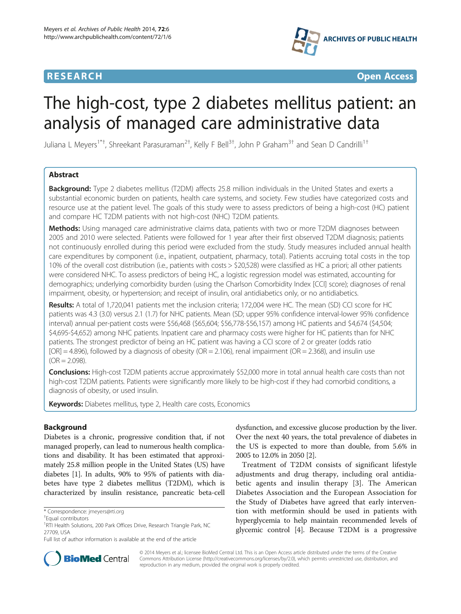## **RESEARCH CHINESE ARCH CHINESE ARCH CHINESE ARCH <b>CHINESE ARCH CHINESE ARCH CHINESE ARCH <b>CHINESE** ARCH **CHINESE ARCH** CHINESE ARCH **CHINESE ARCH 2014**



# The high-cost, type 2 diabetes mellitus patient: an analysis of managed care administrative data

Juliana L Meyers<sup>1\*†</sup>, Shreekant Parasuraman<sup>2†</sup>, Kelly F Bell<sup>3†</sup>, John P Graham<sup>3†</sup> and Sean D Candrilli<sup>1†</sup>

## Abstract

**Background:** Type 2 diabetes mellitus (T2DM) affects 25.8 million individuals in the United States and exerts a substantial economic burden on patients, health care systems, and society. Few studies have categorized costs and resource use at the patient level. The goals of this study were to assess predictors of being a high-cost (HC) patient and compare HC T2DM patients with not high-cost (NHC) T2DM patients.

Methods: Using managed care administrative claims data, patients with two or more T2DM diagnoses between 2005 and 2010 were selected. Patients were followed for 1 year after their first observed T2DM diagnosis; patients not continuously enrolled during this period were excluded from the study. Study measures included annual health care expenditures by component (i.e., inpatient, outpatient, pharmacy, total). Patients accruing total costs in the top 10% of the overall cost distribution (i.e., patients with costs > \$20,528) were classified as HC a priori; all other patients were considered NHC. To assess predictors of being HC, a logistic regression model was estimated, accounting for demographics; underlying comorbidity burden (using the Charlson Comorbidity Index [CCI] score); diagnoses of renal impairment, obesity, or hypertension; and receipt of insulin, oral antidiabetics only, or no antidiabetics.

Results: A total of 1,720,041 patients met the inclusion criteria; 172,004 were HC. The mean (SD) CCI score for HC patients was 4.3 (3.0) versus 2.1 (1.7) for NHC patients. Mean (SD; upper 95% confidence interval-lower 95% confidence interval) annual per-patient costs were \$56,468 (\$65,604; \$56,778-\$56,157) among HC patients and \$4,674 (\$4,504; \$4,695-\$4,652) among NHC patients. Inpatient care and pharmacy costs were higher for HC patients than for NHC patients. The strongest predictor of being an HC patient was having a CCI score of 2 or greater (odds ratio  $[OR] = 4.896$ ), followed by a diagnosis of obesity (OR = 2.106), renal impairment (OR = 2.368), and insulin use  $(OR = 2.098)$ .

Conclusions: High-cost T2DM patients accrue approximately \$52,000 more in total annual health care costs than not high-cost T2DM patients. Patients were significantly more likely to be high-cost if they had comorbid conditions, a diagnosis of obesity, or used insulin.

Keywords: Diabetes mellitus, type 2, Health care costs, Economics

## Background

Diabetes is a chronic, progressive condition that, if not managed properly, can lead to numerous health complications and disability. It has been estimated that approximately 25.8 million people in the United States (US) have diabetes [\[1](#page-11-0)]. In adults, 90% to 95% of patients with diabetes have type 2 diabetes mellitus (T2DM), which is characterized by insulin resistance, pancreatic beta-cell

dysfunction, and excessive glucose production by the liver. Over the next 40 years, the total prevalence of diabetes in the US is expected to more than double, from 5.6% in 2005 to 12.0% in 2050 [[2\]](#page-11-0).

Treatment of T2DM consists of significant lifestyle adjustments and drug therapy, including oral antidiabetic agents and insulin therapy [[3](#page-11-0)]. The American Diabetes Association and the European Association for the Study of Diabetes have agreed that early intervention with metformin should be used in patients with hyperglycemia to help maintain recommended levels of glycemic control [[4\]](#page-11-0). Because T2DM is a progressive



© 2014 Meyers et al.; licensee BioMed Central Ltd. This is an Open Access article distributed under the terms of the Creative Commons Attribution License [\(http://creativecommons.org/licenses/by/2.0\)](http://creativecommons.org/licenses/by/2.0), which permits unrestricted use, distribution, and reproduction in any medium, provided the original work is properly credited.

<sup>\*</sup> Correspondence: [jmeyers@rti.org](mailto:jmeyers@rti.org) †

Equal contributors

<sup>&</sup>lt;sup>1</sup>RTI Health Solutions, 200 Park Offices Drive, Research Triangle Park, NC 27709, USA

Full list of author information is available at the end of the article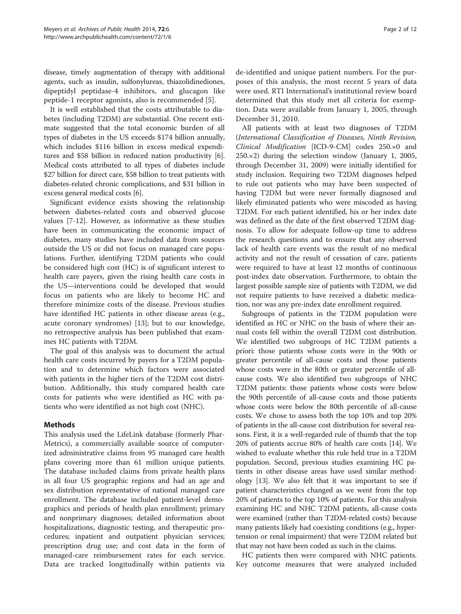disease, timely augmentation of therapy with additional agents, such as insulin, sulfonylureas, thiazolidinediones, dipeptidyl peptidase-4 inhibitors, and glucagon like peptide-1 receptor agonists, also is recommended [[5\]](#page-11-0).

It is well established that the costs attributable to diabetes (including T2DM) are substantial. One recent estimate suggested that the total economic burden of all types of diabetes in the US exceeds \$174 billion annually, which includes \$116 billion in excess medical expenditures and \$58 billion in reduced nation productivity [[6](#page-11-0)]. Medical costs attributed to all types of diabetes include \$27 billion for direct care, \$58 billion to treat patients with diabetes-related chronic complications, and \$31 billion in excess general medical costs [\[6](#page-11-0)].

Significant evidence exists showing the relationship between diabetes-related costs and observed glucose values [\[7](#page-11-0)-[12\]](#page-11-0). However, as informative as these studies have been in communicating the economic impact of diabetes, many studies have included data from sources outside the US or did not focus on managed care populations. Further, identifying T2DM patients who could be considered high cost (HC) is of significant interest to health care payers, given the rising health care costs in the US—interventions could be developed that would focus on patients who are likely to become HC and therefore minimize costs of the disease. Previous studies have identified HC patients in other disease areas (e.g., acute coronary syndromes) [\[13](#page-11-0)]; but to our knowledge, no retrospective analysis has been published that examines HC patients with T2DM.

The goal of this analysis was to document the actual health care costs incurred by payers for a T2DM population and to determine which factors were associated with patients in the higher tiers of the T2DM cost distribution. Additionally, this study compared health care costs for patients who were identified as HC with patients who were identified as not high cost (NHC).

## Methods

This analysis used the LifeLink database (formerly Phar-Metrics), a commercially available source of computerized administrative claims from 95 managed care health plans covering more than 61 million unique patients. The database included claims from private health plans in all four US geographic regions and had an age and sex distribution representative of national managed care enrollment. The database included patient-level demographics and periods of health plan enrollment; primary and nonprimary diagnoses; detailed information about hospitalizations, diagnostic testing, and therapeutic procedures; inpatient and outpatient physician services; prescription drug use; and cost data in the form of managed-care reimbursement rates for each service. Data are tracked longitudinally within patients via

de-identified and unique patient numbers. For the purposes of this analysis, the most recent 5 years of data were used. RTI International's institutional review board determined that this study met all criteria for exemption. Data were available from January 1, 2005, through December 31, 2010.

All patients with at least two diagnoses of T2DM (International Classification of Diseases, Ninth Revision, Clinical Modification [ICD-9-CM] codes 250.×0 and 250.×2) during the selection window (January 1, 2005, through December 31, 2009) were initially identified for study inclusion. Requiring two T2DM diagnoses helped to rule out patients who may have been suspected of having T2DM but were never formally diagnosed and likely eliminated patients who were miscoded as having T2DM. For each patient identified, his or her index date was defined as the date of the first observed T2DM diagnosis. To allow for adequate follow-up time to address the research questions and to ensure that any observed lack of health care events was the result of no medical activity and not the result of cessation of care, patients were required to have at least 12 months of continuous post-index date observation. Furthermore, to obtain the largest possible sample size of patients with T2DM, we did not require patients to have received a diabetic medication, nor was any pre-index date enrollment required.

Subgroups of patients in the T2DM population were identified as HC or NHC on the basis of where their annual costs fell within the overall T2DM cost distribution. We identified two subgroups of HC T2DM patients a priori: those patients whose costs were in the 90th or greater percentile of all-cause costs and those patients whose costs were in the 80th or greater percentile of allcause costs. We also identified two subgroups of NHC T2DM patients: those patients whose costs were below the 90th percentile of all-cause costs and those patients whose costs were below the 80th percentile of all-cause costs. We chose to assess both the top 10% and top 20% of patients in the all-cause cost distribution for several reasons. First, it is a well-regarded rule of thumb that the top 20% of patients accrue 80% of health care costs [\[14\]](#page-11-0). We wished to evaluate whether this rule held true in a T2DM population. Second, previous studies examining HC patients in other disease areas have used similar methodology [[13](#page-11-0)]. We also felt that it was important to see if patient characteristics changed as we went from the top 20% of patients to the top 10% of patients. For this analysis examining HC and NHC T2DM patients, all-cause costs were examined (rather than T2DM-related costs) because many patients likely had coexisting conditions (e.g., hypertension or renal impairment) that were T2DM related but that may not have been coded as such in the claims.

HC patients then were compared with NHC patients. Key outcome measures that were analyzed included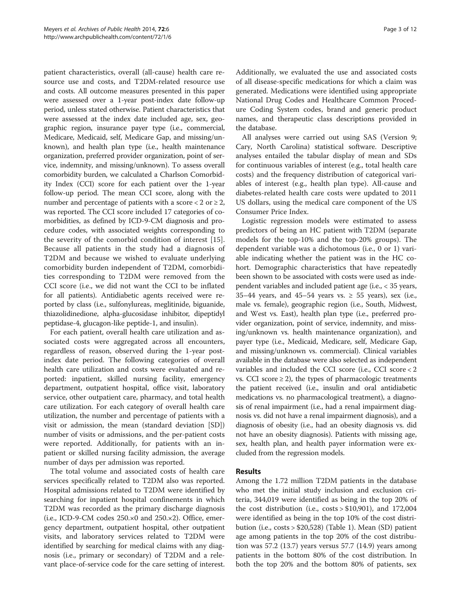patient characteristics, overall (all-cause) health care resource use and costs, and T2DM-related resource use and costs. All outcome measures presented in this paper were assessed over a 1-year post-index date follow-up period, unless stated otherwise. Patient characteristics that were assessed at the index date included age, sex, geographic region, insurance payer type (i.e., commercial, Medicare, Medicaid, self, Medicare Gap, and missing/unknown), and health plan type (i.e., health maintenance organization, preferred provider organization, point of service, indemnity, and missing/unknown). To assess overall comorbidity burden, we calculated a Charlson Comorbidity Index (CCI) score for each patient over the 1-year follow-up period. The mean CCI score, along with the number and percentage of patients with a score  $< 2$  or  $\ge 2$ , was reported. The CCI score included 17 categories of comorbidities, as defined by ICD-9-CM diagnosis and procedure codes, with associated weights corresponding to the severity of the comorbid condition of interest [\[15](#page-11-0)]. Because all patients in the study had a diagnosis of T2DM and because we wished to evaluate underlying comorbidity burden independent of T2DM, comorbidities corresponding to T2DM were removed from the CCI score (i.e., we did not want the CCI to be inflated for all patients). Antidiabetic agents received were reported by class (i.e., sulfonylureas, meglitinide, biguanide, thiazolidinedione, alpha-glucosidase inhibitor, dipeptidyl peptidase-4, glucagon-like peptide-1, and insulin).

For each patient, overall health care utilization and associated costs were aggregated across all encounters, regardless of reason, observed during the 1-year postindex date period. The following categories of overall health care utilization and costs were evaluated and reported: inpatient, skilled nursing facility, emergency department, outpatient hospital, office visit, laboratory service, other outpatient care, pharmacy, and total health care utilization. For each category of overall health care utilization, the number and percentage of patients with a visit or admission, the mean (standard deviation [SD]) number of visits or admissions, and the per-patient costs were reported. Additionally, for patients with an inpatient or skilled nursing facility admission, the average number of days per admission was reported.

The total volume and associated costs of health care services specifically related to T2DM also was reported. Hospital admissions related to T2DM were identified by searching for inpatient hospital confinements in which T2DM was recorded as the primary discharge diagnosis  $(i.e., ICD-9-CM codes 250.x0 and 250.x2).$  Office, emergency department, outpatient hospital, other outpatient visits, and laboratory services related to T2DM were identified by searching for medical claims with any diagnosis (i.e., primary or secondary) of T2DM and a relevant place-of-service code for the care setting of interest.

Additionally, we evaluated the use and associated costs of all disease-specific medications for which a claim was generated. Medications were identified using appropriate National Drug Codes and Healthcare Common Procedure Coding System codes, brand and generic product names, and therapeutic class descriptions provided in the database.

All analyses were carried out using SAS (Version 9; Cary, North Carolina) statistical software. Descriptive analyses entailed the tabular display of mean and SDs for continuous variables of interest (e.g., total health care costs) and the frequency distribution of categorical variables of interest (e.g., health plan type). All-cause and diabetes-related health care costs were updated to 2011 US dollars, using the medical care component of the US Consumer Price Index.

Logistic regression models were estimated to assess predictors of being an HC patient with T2DM (separate models for the top-10% and the top-20% groups). The dependent variable was a dichotomous (i.e., 0 or 1) variable indicating whether the patient was in the HC cohort. Demographic characteristics that have repeatedly been shown to be associated with costs were used as independent variables and included patient age (i.e., < 35 years, 35–44 years, and 45–54 years vs.  $\geq$  55 years), sex (i.e., male vs. female), geographic region (i.e., South, Midwest, and West vs. East), health plan type (i.e., preferred provider organization, point of service, indemnity, and missing/unknown vs. health maintenance organization), and payer type (i.e., Medicaid, Medicare, self, Medicare Gap, and missing/unknown vs. commercial). Clinical variables available in the database were also selected as independent variables and included the CCI score (i.e., CCI score < 2 vs. CCI score  $\geq$  2), the types of pharmacologic treatments the patient received (i.e., insulin and oral antidiabetic medications vs. no pharmacological treatment), a diagnosis of renal impairment (i.e., had a renal impairment diagnosis vs. did not have a renal impairment diagnosis), and a diagnosis of obesity (i.e., had an obesity diagnosis vs. did not have an obesity diagnosis). Patients with missing age, sex, health plan, and health payer information were excluded from the regression models.

## Results

Among the 1.72 million T2DM patients in the database who met the initial study inclusion and exclusion criteria, 344,019 were identified as being in the top 20% of the cost distribution (i.e., costs > \$10,901), and 172,004 were identified as being in the top 10% of the cost distribution (i.e., costs > \$20,528) (Table [1](#page-3-0)). Mean (SD) patient age among patients in the top 20% of the cost distribution was 57.2 (13.7) years versus 57.7 (14.9) years among patients in the bottom 80% of the cost distribution. In both the top 20% and the bottom 80% of patients, sex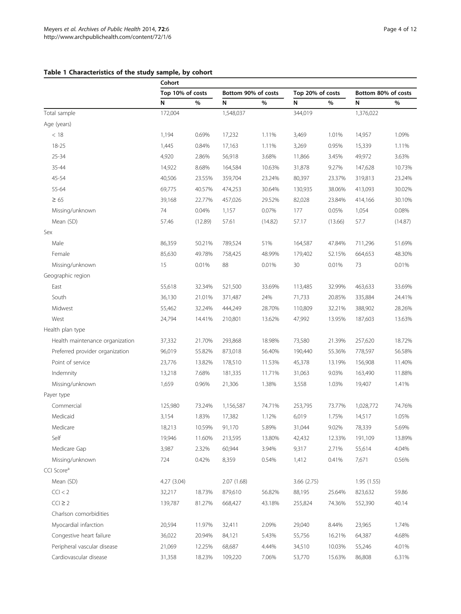## <span id="page-3-0"></span>Table 1 Characteristics of the study sample, by cohort

|                                 | Cohort           |         |                     |         |                  |         |                     |         |
|---------------------------------|------------------|---------|---------------------|---------|------------------|---------|---------------------|---------|
|                                 | Top 10% of costs |         | Bottom 90% of costs |         | Top 20% of costs |         | Bottom 80% of costs |         |
|                                 | N                | %       | N                   | $\%$    | N                | $\%$    | N                   | $\%$    |
| Total sample                    | 172,004          |         | 1,548,037           |         | 344,019          |         | 1,376,022           |         |
| Age (years)                     |                  |         |                     |         |                  |         |                     |         |
| < 18                            | 1,194            | 0.69%   | 17,232              | 1.11%   | 3,469            | 1.01%   | 14,957              | 1.09%   |
| 18-25                           | 1,445            | 0.84%   | 17,163              | 1.11%   | 3,269            | 0.95%   | 15,339              | 1.11%   |
| 25-34                           | 4,920            | 2.86%   | 56,918              | 3.68%   | 11,866           | 3.45%   | 49,972              | 3.63%   |
| 35-44                           | 14,922           | 8.68%   | 164,584             | 10.63%  | 31,878           | 9.27%   | 147,628             | 10.73%  |
| 45-54                           | 40,506           | 23.55%  | 359,704             | 23.24%  | 80,397           | 23.37%  | 319,813             | 23.24%  |
| 55-64                           | 69,775           | 40.57%  | 474,253             | 30.64%  | 130,935          | 38.06%  | 413,093             | 30.02%  |
| $\geq 65$                       | 39,168           | 22.77%  | 457,026             | 29.52%  | 82,028           | 23.84%  | 414,166             | 30.10%  |
| Missing/unknown                 | 74               | 0.04%   | 1,157               | 0.07%   | 177              | 0.05%   | 1,054               | 0.08%   |
| Mean (SD)                       | 57.46            | (12.89) | 57.61               | (14.82) | 57.17            | (13.66) | 57.7                | (14.87) |
| Sex                             |                  |         |                     |         |                  |         |                     |         |
| Male                            | 86,359           | 50.21%  | 789,524             | 51%     | 164,587          | 47.84%  | 711,296             | 51.69%  |
| Female                          | 85,630           | 49.78%  | 758,425             | 48.99%  | 179,402          | 52.15%  | 664,653             | 48.30%  |
| Missing/unknown                 | 15               | 0.01%   | 88                  | 0.01%   | 30               | 0.01%   | 73                  | 0.01%   |
| Geographic region               |                  |         |                     |         |                  |         |                     |         |
| East                            | 55,618           | 32.34%  | 521,500             | 33.69%  | 113,485          | 32.99%  | 463,633             | 33.69%  |
| South                           | 36,130           | 21.01%  | 371,487             | 24%     | 71,733           | 20.85%  | 335,884             | 24.41%  |
| Midwest                         | 55,462           | 32.24%  | 444,249             | 28.70%  | 110,809          | 32.21%  | 388,902             | 28.26%  |
| West                            | 24,794           | 14.41%  | 210,801             | 13.62%  | 47,992           | 13.95%  | 187,603             | 13.63%  |
| Health plan type                |                  |         |                     |         |                  |         |                     |         |
| Health maintenance organization | 37,332           | 21.70%  | 293,868             | 18.98%  | 73,580           | 21.39%  | 257,620             | 18.72%  |
| Preferred provider organization | 96,019           | 55.82%  | 873,018             | 56.40%  | 190,440          | 55.36%  | 778,597             | 56.58%  |
| Point of service                | 23,776           | 13.82%  | 178,510             | 11.53%  | 45,378           | 13.19%  | 156,908             | 11.40%  |
| Indemnity                       | 13,218           | 7.68%   | 181,335             | 11.71%  | 31,063           | 9.03%   | 163,490             | 11.88%  |
| Missing/unknown                 | 1,659            | 0.96%   | 21,306              | 1.38%   | 3,558            | 1.03%   | 19,407              | 1.41%   |
| Payer type                      |                  |         |                     |         |                  |         |                     |         |
| Commercial                      | 125,980          | 73.24%  | 1,156,587           | 74.71%  | 253,795          | 73.77%  | 1,028,772           | 74.76%  |
| Medicaid                        | 3,154            | 1.83%   | 17,382              | 1.12%   | 6,019            | 1.75%   | 14,517              | 1.05%   |
| Medicare                        | 18,213           | 10.59%  | 91,170              | 5.89%   | 31,044           | 9.02%   | 78,339              | 5.69%   |
| Self                            | 19,946           | 11.60%  | 213,595             | 13.80%  | 42,432           | 12.33%  | 191,109             | 13.89%  |
| Medicare Gap                    | 3,987            | 2.32%   | 60,944              | 3.94%   | 9,317            | 2.71%   | 55,614              | 4.04%   |
| Missing/unknown                 | 724              | 0.42%   | 8,359               | 0.54%   | 1,412            | 0.41%   | 7,671               | 0.56%   |
| CCI Score <sup>a</sup>          |                  |         |                     |         |                  |         |                     |         |
| Mean (SD)                       | 4.27 (3.04)      |         | 2.07(1.68)          |         | 3.66(2.75)       |         | 1.95(1.55)          |         |
| CCI < 2                         | 32,217           | 18.73%  | 879,610             | 56.82%  | 88,195           | 25.64%  | 823,632             | 59.86   |
| $CCI \geq 2$                    | 139,787          | 81.27%  | 668,427             | 43.18%  | 255,824          | 74.36%  | 552,390             | 40.14   |
| Charlson comorbidities          |                  |         |                     |         |                  |         |                     |         |
| Myocardial infarction           | 20,594           | 11.97%  | 32,411              | 2.09%   | 29,040           | 8.44%   | 23,965              | 1.74%   |
| Congestive heart failure        | 36,022           | 20.94%  | 84,121              | 5.43%   | 55,756           | 16.21%  | 64,387              | 4.68%   |
| Peripheral vascular disease     | 21,069           | 12.25%  | 68,687              | 4.44%   | 34,510           | 10.03%  | 55,246              | 4.01%   |
| Cardiovascular disease          | 31,358           | 18.23%  | 109,220             | 7.06%   | 53,770           | 15.63%  | 86,808              | 6.31%   |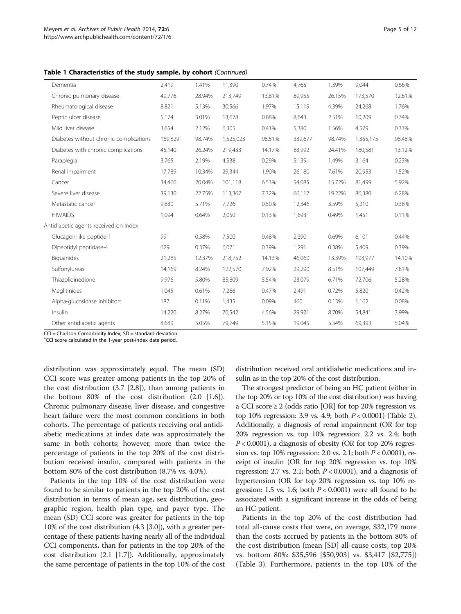Table 1 Characteristics of the study sample, by cohort (Continued)

| Dementia                               | 2,419   | 1.41%  | 11,390    | 0.74%  | 4,765   | 1.39%  | 9,044     | 0.66%  |
|----------------------------------------|---------|--------|-----------|--------|---------|--------|-----------|--------|
| Chronic pulmonary disease              | 49,776  | 28.94% | 213,749   | 13.81% | 89,955  | 26.15% | 173,570   | 12.61% |
| Rheumatological disease                | 8,821   | 5.13%  | 30,566    | 1.97%  | 15,119  | 4.39%  | 24,268    | 1.76%  |
| Peptic ulcer disease                   | 5,174   | 3.01%  | 13,678    | 0.88%  | 8,643   | 2.51%  | 10,209    | 0.74%  |
| Mild liver disease                     | 3,654   | 2.12%  | 6,305     | 0.41%  | 5,380   | 1.56%  | 4,579     | 0.33%  |
| Diabetes without chronic complications | 169,829 | 98.74% | 1,525,023 | 98.51% | 339,677 | 98.74% | 1,355,175 | 98.48% |
| Diabetes with chronic complications    | 45,140  | 26.24% | 219,433   | 14.17% | 83,992  | 24.41% | 180,581   | 13.12% |
| Paraplegia                             | 3,765   | 2.19%  | 4,538     | 0.29%  | 5,139   | 1.49%  | 3,164     | 0.23%  |
| Renal impairment                       | 17,789  | 10.34% | 29,344    | 1.90%  | 26,180  | 7.61%  | 20,953    | 1.52%  |
| Cancer                                 | 34,466  | 20.04% | 101,118   | 6.53%  | 54,085  | 15.72% | 81,499    | 5.92%  |
| Severe liver disease                   | 39,130  | 22.75% | 113,367   | 7.32%  | 66,117  | 19.22% | 86,380    | 6.28%  |
| Metastatic cancer                      | 9,830   | 5.71%  | 7,726     | 0.50%  | 12,346  | 3.59%  | 5,210     | 0.38%  |
| <b>HIV/AIDS</b>                        | 1,094   | 0.64%  | 2,050     | 0.13%  | 1,693   | 0.49%  | 1,451     | 0.11%  |
| Antidiabetic agents received on Index  |         |        |           |        |         |        |           |        |
| Glucagon-like peptide-1                | 991     | 0.58%  | 7,500     | 0.48%  | 2,390   | 0.69%  | 6,101     | 0.44%  |
| Dipeptidyl peptidase-4                 | 629     | 0.37%  | 6,071     | 0.39%  | 1,291   | 0.38%  | 5,409     | 0.39%  |
| Biguanides                             | 21,285  | 12.37% | 218,752   | 14.13% | 46.060  | 13.39% | 193,977   | 14.10% |
| Sulfonylureas                          | 14,169  | 8.24%  | 122,570   | 7.92%  | 29,290  | 8.51%  | 107,449   | 7.81%  |
| Thiazolidinedione                      | 9,976   | 5.80%  | 85,809    | 5.54%  | 23,079  | 6.71%  | 72,706    | 5.28%  |
| Meglitinides                           | 1,045   | 0.61%  | 7,266     | 0.47%  | 2,491   | 0.72%  | 5,820     | 0.42%  |
| Alpha-glucosidase inhibitors           | 187     | 0.11%  | 1,435     | 0.09%  | 460     | 0.13%  | 1,162     | 0.08%  |
| Insulin                                | 14,220  | 8.27%  | 70,542    | 4.56%  | 29,921  | 8.70%  | 54,841    | 3.99%  |
| Other antidiabetic agents              | 8,689   | 5.05%  | 79,749    | 5.15%  | 19,045  | 5.54%  | 69,393    | 5.04%  |
|                                        |         |        |           |        |         |        |           |        |

CCI = Charlson Comorbidity Index; SD = standard deviation.

<sup>a</sup>CCI score calculated in the 1-year post-index date period.

distribution was approximately equal. The mean (SD) CCI score was greater among patients in the top 20% of the cost distribution (3.7 [2.8]), than among patients in the bottom 80% of the cost distribution (2.0 [1.6]). Chronic pulmonary disease, liver disease, and congestive heart failure were the most common conditions in both cohorts. The percentage of patients receiving oral antidiabetic medications at index date was approximately the same in both cohorts; however, more than twice the percentage of patients in the top 20% of the cost distribution received insulin, compared with patients in the bottom 80% of the cost distribution (8.7% vs. 4.0%).

Patients in the top 10% of the cost distribution were found to be similar to patients in the top 20% of the cost distribution in terms of mean age, sex distribution, geographic region, health plan type, and payer type. The mean (SD) CCI score was greater for patients in the top 10% of the cost distribution (4.3 [3.0]), with a greater percentage of these patients having nearly all of the individual CCI components, than for patients in the top 20% of the cost distribution (2.1 [1.7]). Additionally, approximately the same percentage of patients in the top 10% of the cost distribution received oral antidiabetic medications and insulin as in the top 20% of the cost distribution.

The strongest predictor of being an HC patient (either in the top 20% or top 10% of the cost distribution) was having a CCI score  $\geq 2$  (odds ratio [OR] for top 20% regression vs. top 10% regression: 3.9 vs. 4.9; both  $P < 0.0001$  (Table [2](#page-5-0)). Additionally, a diagnosis of renal impairment (OR for top 20% regression vs. top 10% regression: 2.2 vs. 2.4; both  $P < 0.0001$ ), a diagnosis of obesity (OR for top 20% regression vs. top 10% regression: 2.0 vs. 2.1; both  $P < 0.0001$ ), receipt of insulin (OR for top 20% regression vs. top 10% regression: 2.7 vs. 2.1; both  $P < 0.0001$ ), and a diagnosis of hypertension (OR for top 20% regression vs. top 10% regression: 1.5 vs. 1.6; both  $P < 0.0001$ ) were all found to be associated with a significant increase in the odds of being an HC patient.

Patients in the top 20% of the cost distribution had total all-cause costs that were, on average, \$32,179 more than the costs accrued by patients in the bottom 80% of the cost distribution (mean [SD] all-cause costs, top 20% vs. bottom 80%: \$35,596 [\$50,903] vs. \$3,417 [\$2,775]) (Table [3](#page-6-0)). Furthermore, patients in the top 10% of the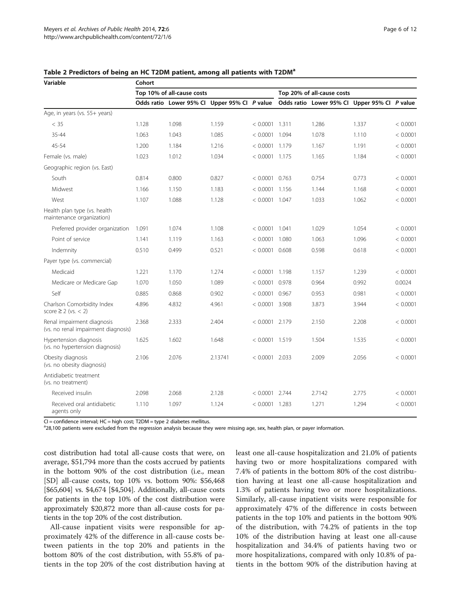| Variable                                                          | Cohort |                                              |         |                            |       |        |                                              |          |  |  |
|-------------------------------------------------------------------|--------|----------------------------------------------|---------|----------------------------|-------|--------|----------------------------------------------|----------|--|--|
|                                                                   |        | Top 10% of all-cause costs                   |         | Top 20% of all-cause costs |       |        |                                              |          |  |  |
|                                                                   |        | Odds ratio Lower 95% Cl Upper 95% Cl P value |         |                            |       |        | Odds ratio Lower 95% CI Upper 95% CI P value |          |  |  |
| Age, in years (vs. 55+ years)                                     |        |                                              |         |                            |       |        |                                              |          |  |  |
| $<$ 35                                                            | 1.128  | 1.098                                        | 1.159   | < 0.0001                   | 1.311 | 1.286  | 1.337                                        | < 0.0001 |  |  |
| 35-44                                                             | 1.063  | 1.043                                        | 1.085   | $< 0.0001$ 1.094           |       | 1.078  | 1.110                                        | < 0.0001 |  |  |
| 45-54                                                             | 1.200  | 1.184                                        | 1.216   | $< 0.0001$ 1.179           |       | 1.167  | 1.191                                        | < 0.0001 |  |  |
| Female (vs. male)                                                 | 1.023  | 1.012                                        | 1.034   | $< 0.0001$ 1.175           |       | 1.165  | 1.184                                        | < 0.0001 |  |  |
| Geographic region (vs. East)                                      |        |                                              |         |                            |       |        |                                              |          |  |  |
| South                                                             | 0.814  | 0.800                                        | 0.827   | $< 0.0001$ 0.763           |       | 0.754  | 0.773                                        | < 0.0001 |  |  |
| Midwest                                                           | 1.166  | 1.150                                        | 1.183   | $< 0.0001$ 1.156           |       | 1.144  | 1.168                                        | < 0.0001 |  |  |
| West                                                              | 1.107  | 1.088                                        | 1.128   | $< 0.0001$ 1.047           |       | 1.033  | 1.062                                        | < 0.0001 |  |  |
| Health plan type (vs. health<br>maintenance organization)         |        |                                              |         |                            |       |        |                                              |          |  |  |
| Preferred provider organization                                   | 1.091  | 1.074                                        | 1.108   | $< 0.0001$ 1.041           |       | 1.029  | 1.054                                        | < 0.0001 |  |  |
| Point of service                                                  | 1.141  | 1.119                                        | 1.163   | $< 0.0001$ 1.080           |       | 1.063  | 1.096                                        | < 0.0001 |  |  |
| Indemnity                                                         | 0.510  | 0.499                                        | 0.521   | $< 0.0001$ 0.608           |       | 0.598  | 0.618                                        | < 0.0001 |  |  |
| Payer type (vs. commercial)                                       |        |                                              |         |                            |       |        |                                              |          |  |  |
| Medicaid                                                          | 1.221  | 1.170                                        | 1.274   | $< 0.0001$ 1.198           |       | 1.157  | 1.239                                        | < 0.0001 |  |  |
| Medicare or Medicare Gap                                          | 1.070  | 1.050                                        | 1.089   | $< 0.0001$ 0.978           |       | 0.964  | 0.992                                        | 0.0024   |  |  |
| Self                                                              | 0.885  | 0.868                                        | 0.902   | $< 0.0001$ 0.967           |       | 0.953  | 0.981                                        | < 0.0001 |  |  |
| Charlson Comorbidity Index<br>score $\geq$ 2 (vs. < 2)            | 4.896  | 4.832                                        | 4.961   | $< 0.0001$ 3.908           |       | 3.873  | 3.944                                        | < 0.0001 |  |  |
| Renal impairment diagnosis<br>(vs. no renal impairment diagnosis) | 2.368  | 2.333                                        | 2.404   | $< 0.0001$ 2.179           |       | 2.150  | 2.208                                        | < 0.0001 |  |  |
| Hypertension diagnosis<br>(vs. no hypertension diagnosis)         | 1.625  | 1.602                                        | 1.648   | $< 0.0001$ 1.519           |       | 1.504  | 1.535                                        | < 0.0001 |  |  |
| Obesity diagnosis<br>(vs. no obesity diagnosis)                   | 2.106  | 2.076                                        | 2.13741 | $< 0.0001$ 2.033           |       | 2.009  | 2.056                                        | < 0.0001 |  |  |
| Antidiabetic treatment<br>(vs. no treatment)                      |        |                                              |         |                            |       |        |                                              |          |  |  |
| Received insulin                                                  | 2.098  | 2.068                                        | 2.128   | $< 0.0001$ 2.744           |       | 2.7142 | 2.775                                        | < 0.0001 |  |  |
| Received oral antidiabetic<br>agents only                         | 1.110  | 1.097                                        | 1.124   | $< 0.0001$ 1.283           |       | 1.271  | 1.294                                        | < 0.0001 |  |  |

<span id="page-5-0"></span>Table 2 Predictors of being an HC T2DM patient, among all patients with T2DM<sup>a</sup>

CI = confidence interval; HC = high cost; T2DM = type 2 diabetes mellitus.

<sup>a</sup>28,100 patients were excluded from the regression analysis because they were missing age, sex, health plan, or payer information.

cost distribution had total all-cause costs that were, on average, \$51,794 more than the costs accrued by patients in the bottom 90% of the cost distribution (i.e., mean [SD] all-cause costs, top 10% vs. bottom 90%: \$56,468 [\$65,604] vs. \$4,674 [\$4,504]. Additionally, all-cause costs for patients in the top 10% of the cost distribution were approximately \$20,872 more than all-cause costs for patients in the top 20% of the cost distribution.

All-cause inpatient visits were responsible for approximately 42% of the difference in all-cause costs between patients in the top 20% and patients in the bottom 80% of the cost distribution, with 55.8% of patients in the top 20% of the cost distribution having at least one all-cause hospitalization and 21.0% of patients having two or more hospitalizations compared with 7.4% of patients in the bottom 80% of the cost distribution having at least one all-cause hospitalization and 1.3% of patients having two or more hospitalizations. Similarly, all-cause inpatient visits were responsible for approximately 47% of the difference in costs between patients in the top 10% and patients in the bottom 90% of the distribution, with 74.2% of patients in the top 10% of the distribution having at least one all-cause hospitalization and 34.4% of patients having two or more hospitalizations, compared with only 10.8% of patients in the bottom 90% of the distribution having at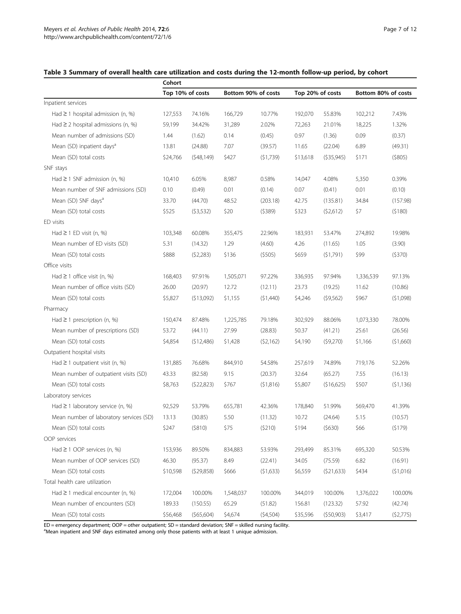|                                         | Cohort   |                  |                     |           |                  |            |                     |           |  |
|-----------------------------------------|----------|------------------|---------------------|-----------|------------------|------------|---------------------|-----------|--|
|                                         |          | Top 10% of costs | Bottom 90% of costs |           | Top 20% of costs |            | Bottom 80% of costs |           |  |
| Inpatient services                      |          |                  |                     |           |                  |            |                     |           |  |
| Had $\geq$ 1 hospital admission (n, %)  | 127,553  | 74.16%           | 166,729             | 10.77%    | 192,070          | 55.83%     | 102,212             | 7.43%     |  |
| Had $\geq$ 2 hospital admissions (n, %) | 59,199   | 34.42%           | 31,289              | 2.02%     | 72,263           | 21.01%     | 18,225              | 1.32%     |  |
| Mean number of admissions (SD)          | 1.44     | (1.62)           | 0.14                | (0.45)    | 0.97             | (1.36)     | 0.09                | (0.37)    |  |
| Mean (SD) inpatient days <sup>a</sup>   | 13.81    | (24.88)          | 7.07                | (39.57)   | 11.65            | (22.04)    | 6.89                | (49.31)   |  |
| Mean (SD) total costs                   | \$24,766 | (548, 149)       | \$427               | (51,739)  | \$13,618         | (535,945)  | \$171               | (5805)    |  |
| SNF stays                               |          |                  |                     |           |                  |            |                     |           |  |
| Had $\geq$ 1 SNF admission (n, %)       | 10,410   | 6.05%            | 8,987               | 0.58%     | 14,047           | 4.08%      | 5,350               | 0.39%     |  |
| Mean number of SNF admissions (SD)      | 0.10     | (0.49)           | 0.01                | (0.14)    | 0.07             | (0.41)     | 0.01                | (0.10)    |  |
| Mean (SD) SNF days <sup>a</sup>         | 33.70    | (44.70)          | 48.52               | (203.18)  | 42.75            | (135.81)   | 34.84               | (157.98)  |  |
| Mean (SD) total costs                   | \$525    | (53,532)         | \$20                | (5389)    | \$323            | (52,612)   | \$7                 | (5180)    |  |
| ED visits                               |          |                  |                     |           |                  |            |                     |           |  |
| Had $\geq$ 1 ED visit (n, %)            | 103,348  | 60.08%           | 355,475             | 22.96%    | 183,931          | 53.47%     | 274,892             | 19.98%    |  |
| Mean number of ED visits (SD)           | 5.31     | (14.32)          | 1.29                | (4.60)    | 4.26             | (11.65)    | 1.05                | (3.90)    |  |
| Mean (SD) total costs                   | \$888    | (52,283)         | \$136               | (5505)    | \$659            | (51,791)   | \$99                | (5370)    |  |
| Office visits                           |          |                  |                     |           |                  |            |                     |           |  |
| Had $\geq$ 1 office visit (n, %)        | 168,403  | 97.91%           | 1,505,071           | 97.22%    | 336,935          | 97.94%     | 1,336,539           | 97.13%    |  |
| Mean number of office visits (SD)       | 26.00    | (20.97)          | 12.72               | (12.11)   | 23.73            | (19.25)    | 11.62               | (10.86)   |  |
| Mean (SD) total costs                   | \$5,827  | (513,092)        | \$1,155             | (51,440)  | \$4,246          | (59, 562)  | \$967               | (51,098)  |  |
| Pharmacy                                |          |                  |                     |           |                  |            |                     |           |  |
| Had $\geq$ 1 prescription (n, %)        | 150,474  | 87.48%           | 1,225,785           | 79.18%    | 302,929          | 88.06%     | 1,073,330           | 78.00%    |  |
| Mean number of prescriptions (SD)       | 53.72    | (44.11)          | 27.99               | (28.83)   | 50.37            | (41.21)    | 25.61               | (26.56)   |  |
| Mean (SD) total costs                   | \$4,854  | (512,486)        | \$1,428             | (52, 162) | \$4,190          | (59,270)   | \$1,166             | (\$1,660) |  |
| Outpatient hospital visits              |          |                  |                     |           |                  |            |                     |           |  |
| Had $\geq$ 1 outpatient visit (n, %)    | 131,885  | 76.68%           | 844,910             | 54.58%    | 257,619          | 74.89%     | 719,176             | 52.26%    |  |
| Mean number of outpatient visits (SD)   | 43.33    | (82.58)          | 9.15                | (20.37)   | 32.64            | (65.27)    | 7.55                | (16.13)   |  |
| Mean (SD) total costs                   | \$8,763  | (522, 823)       | \$767               | (51,816)  | \$5,807          | (\$16,625) | \$507               | (\$1,136) |  |
| Laboratory services                     |          |                  |                     |           |                  |            |                     |           |  |
| Had $\geq$ 1 laboratory service (n, %)  | 92,529   | 53.79%           | 655,781             | 42.36%    | 178,840          | 51.99%     | 569,470             | 41.39%    |  |
| Mean number of laboratory services (SD) | 13.13    | (30.85)          | 5.50                | (11.32)   | 10.72            | (24.64)    | 5.15                | (10.57)   |  |
| Mean (SD) total costs                   | \$247    | ( \$810)         | \$75                | (5210)    | \$194            | (5630)     | \$66                | (5179)    |  |
| OOP services                            |          |                  |                     |           |                  |            |                     |           |  |
| Had $\geq$ 1 OOP services (n, %)        | 153,936  | 89.50%           | 834,883             | 53.93%    | 293,499          | 85.31%     | 695,320             | 50.53%    |  |
| Mean number of OOP services (SD)        | 46.30    | (95.37)          | 8.49                | (22.41)   | 34.05            | (75.59)    | 6.82                | (16.91)   |  |
| Mean (SD) total costs                   | \$10,598 | (529, 858)       | \$666               | (51,633)  | \$6,559          | (521, 633) | \$434               | (\$1,016) |  |
| Total health care utilization           |          |                  |                     |           |                  |            |                     |           |  |
| Had $\geq$ 1 medical encounter (n, %)   | 172,004  | 100.00%          | 1,548,037           | 100.00%   | 344,019          | 100.00%    | 1,376,022           | 100.00%   |  |
| Mean number of encounters (SD)          | 189.33   | (150.55)         | 65.29               | (51.82)   | 156.81           | (123.32)   | 57.92               | (42.74)   |  |
| Mean (SD) total costs                   | \$56,468 | (565,604)        | \$4,674             | (54, 504) | \$35,596         | (550,903)  | \$3,417             | (52,775)  |  |

## <span id="page-6-0"></span>Table 3 Summary of overall health care utilization and costs during the 12-month follow-up period, by cohort

 $ED =$  emergency department; OOP = other outpatient;  $SD =$  standard deviation;  $SNF =$  skilled nursing facility.

<sup>a</sup>Mean inpatient and SNF days estimated among only those patients with at least 1 unique admission.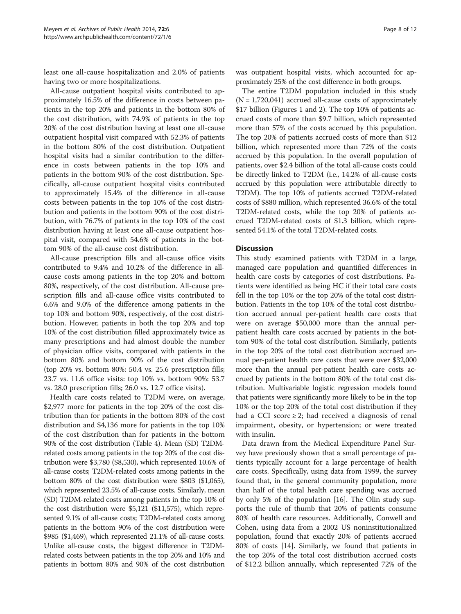least one all-cause hospitalization and 2.0% of patients having two or more hospitalizations.

All-cause outpatient hospital visits contributed to approximately 16.5% of the difference in costs between patients in the top 20% and patients in the bottom 80% of the cost distribution, with 74.9% of patients in the top 20% of the cost distribution having at least one all-cause outpatient hospital visit compared with 52.3% of patients in the bottom 80% of the cost distribution. Outpatient hospital visits had a similar contribution to the difference in costs between patients in the top 10% and patients in the bottom 90% of the cost distribution. Specifically, all-cause outpatient hospital visits contributed to approximately 15.4% of the difference in all-cause costs between patients in the top 10% of the cost distribution and patients in the bottom 90% of the cost distribution, with 76.7% of patients in the top 10% of the cost distribution having at least one all-cause outpatient hospital visit, compared with 54.6% of patients in the bottom 90% of the all-cause cost distribution.

All-cause prescription fills and all-cause office visits contributed to 9.4% and 10.2% of the difference in allcause costs among patients in the top 20% and bottom 80%, respectively, of the cost distribution. All-cause prescription fills and all-cause office visits contributed to 6.6% and 9.0% of the difference among patients in the top 10% and bottom 90%, respectively, of the cost distribution. However, patients in both the top 20% and top 10% of the cost distribution filled approximately twice as many prescriptions and had almost double the number of physician office visits, compared with patients in the bottom 80% and bottom 90% of the cost distribution (top 20% vs. bottom 80%: 50.4 vs. 25.6 prescription fills; 23.7 vs. 11.6 office visits: top 10% vs. bottom 90%: 53.7 vs. 28.0 prescription fills; 26.0 vs. 12.7 office visits).

Health care costs related to T2DM were, on average, \$2,977 more for patients in the top 20% of the cost distribution than for patients in the bottom 80% of the cost distribution and \$4,136 more for patients in the top 10% of the cost distribution than for patients in the bottom 90% of the cost distribution (Table [4](#page-8-0)). Mean (SD) T2DMrelated costs among patients in the top 20% of the cost distribution were \$3,780 (\$8,530), which represented 10.6% of all-cause costs; T2DM-related costs among patients in the bottom 80% of the cost distribution were \$803 (\$1,065), which represented 23.5% of all-cause costs. Similarly, mean (SD) T2DM-related costs among patients in the top 10% of the cost distribution were \$5,121 (\$11,575), which represented 9.1% of all-cause costs; T2DM-related costs among patients in the bottom 90% of the cost distribution were \$985 (\$1,469), which represented 21.1% of all-cause costs. Unlike all-cause costs, the biggest difference in T2DMrelated costs between patients in the top 20% and 10% and patients in bottom 80% and 90% of the cost distribution was outpatient hospital visits, which accounted for ap-

proximately 25% of the cost difference in both groups. The entire T2DM population included in this study  $(N = 1,720,041)$  accrued all-cause costs of approximately \$17 billion (Figures [1](#page-9-0) and [2](#page-9-0)). The top 10% of patients accrued costs of more than \$9.7 billion, which represented more than 57% of the costs accrued by this population. The top 20% of patients accrued costs of more than \$12 billion, which represented more than 72% of the costs accrued by this population. In the overall population of patients, over \$2.4 billion of the total all-cause costs could be directly linked to T2DM (i.e., 14.2% of all-cause costs accrued by this population were attributable directly to T2DM). The top 10% of patients accrued T2DM-related costs of \$880 million, which represented 36.6% of the total T2DM-related costs, while the top 20% of patients accrued T2DM-related costs of \$1.3 billion, which represented 54.1% of the total T2DM-related costs.

## **Discussion**

This study examined patients with T2DM in a large, managed care population and quantified differences in health care costs by categories of cost distributions. Patients were identified as being HC if their total care costs fell in the top 10% or the top 20% of the total cost distribution. Patients in the top 10% of the total cost distribution accrued annual per-patient health care costs that were on average \$50,000 more than the annual perpatient health care costs accrued by patients in the bottom 90% of the total cost distribution. Similarly, patients in the top 20% of the total cost distribution accrued annual per-patient health care costs that were over \$32,000 more than the annual per-patient health care costs accrued by patients in the bottom 80% of the total cost distribution. Multivariable logistic regression models found that patients were significantly more likely to be in the top 10% or the top 20% of the total cost distribution if they had a CCI score ≥ 2; had received a diagnosis of renal impairment, obesity, or hypertension; or were treated with insulin.

Data drawn from the Medical Expenditure Panel Survey have previously shown that a small percentage of patients typically account for a large percentage of health care costs. Specifically, using data from 1999, the survey found that, in the general community population, more than half of the total health care spending was accrued by only 5% of the population [\[16\]](#page-11-0). The Olin study supports the rule of thumb that 20% of patients consume 80% of health care resources. Additionally, Conwell and Cohen, using data from a 2002 US noninstitutionalized population, found that exactly 20% of patients accrued 80% of costs [[14](#page-11-0)]. Similarly, we found that patients in the top 20% of the total cost distribution accrued costs of \$12.2 billion annually, which represented 72% of the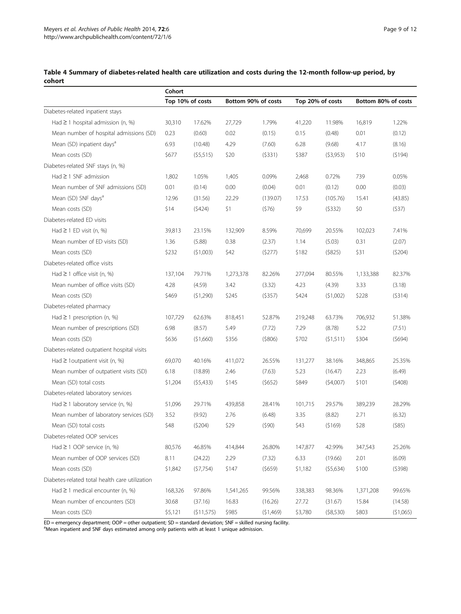|                                                | Cohort  |                  |                     |          |                  |          |                     |           |  |
|------------------------------------------------|---------|------------------|---------------------|----------|------------------|----------|---------------------|-----------|--|
|                                                |         | Top 10% of costs | Bottom 90% of costs |          | Top 20% of costs |          | Bottom 80% of costs |           |  |
| Diabetes-related inpatient stays               |         |                  |                     |          |                  |          |                     |           |  |
| Had $\geq$ 1 hospital admission (n, %)         | 30,310  | 17.62%           | 27,729              | 1.79%    | 41,220           | 11.98%   | 16,819              | 1.22%     |  |
| Mean number of hospital admissions (SD)        | 0.23    | (0.60)           | 0.02                | (0.15)   | 0.15             | (0.48)   | 0.01                | (0.12)    |  |
| Mean (SD) inpatient days <sup>a</sup>          | 6.93    | (10.48)          | 4.29                | (7.60)   | 6.28             | (9.68)   | 4.17                | (8.16)    |  |
| Mean costs (SD)                                | \$677   | (55,515)         | \$20                | (5331)   | \$387            | (53,953) | \$10                | (5194)    |  |
| Diabetes-related SNF stays (n, %)              |         |                  |                     |          |                  |          |                     |           |  |
| $Had \geq 1$ SNF admission                     | 1,802   | 1.05%            | 1,405               | 0.09%    | 2,468            | 0.72%    | 739                 | 0.05%     |  |
| Mean number of SNF admissions (SD)             | 0.01    | (0.14)           | 0.00                | (0.04)   | 0.01             | (0.12)   | 0.00                | (0.03)    |  |
| Mean (SD) SNF days <sup>d</sup>                | 12.96   | (31.56)          | 22.29               | (139.07) | 17.53            | (105.76) | 15.41               | (43.85)   |  |
| Mean costs (SD)                                | \$14    | (5424)           | \$1                 | (576)    | \$9              | (5332)   | \$0                 | (537)     |  |
| Diabetes-related ED visits                     |         |                  |                     |          |                  |          |                     |           |  |
| Had $\geq$ 1 ED visit (n, %)                   | 39,813  | 23.15%           | 132,909             | 8.59%    | 70,699           | 20.55%   | 102,023             | 7.41%     |  |
| Mean number of ED visits (SD)                  | 1.36    | (5.88)           | 0.38                | (2.37)   | 1.14             | (5.03)   | 0.31                | (2.07)    |  |
| Mean costs (SD)                                | \$232   | (51,003)         | \$42                | (5277)   | \$182            | (5825)   | \$31                | (5204)    |  |
| Diabetes-related office visits                 |         |                  |                     |          |                  |          |                     |           |  |
| Had $\geq$ 1 office visit (n, %)               | 137,104 | 79.71%           | 1,273,378           | 82.26%   | 277,094          | 80.55%   | 1,133,388           | 82.37%    |  |
| Mean number of office visits (SD)              | 4.28    | (4.59)           | 3.42                | (3.32)   | 4.23             | (4.39)   | 3.33                | (3.18)    |  |
| Mean costs (SD)                                | \$469   | (51,290)         | \$245               | (5357)   | \$424            | (51,002) | \$228               | (5314)    |  |
| Diabetes-related pharmacy                      |         |                  |                     |          |                  |          |                     |           |  |
| Had $\geq$ 1 prescription (n, %)               | 107,729 | 62.63%           | 818,451             | 52.87%   | 219,248          | 63.73%   | 706,932             | 51.38%    |  |
| Mean number of prescriptions (SD)              | 6.98    | (8.57)           | 5.49                | (7.72)   | 7.29             | (8.78)   | 5.22                | (7.51)    |  |
| Mean costs (SD)                                | \$636   | (51,660)         | \$356               | (5806)   | \$702            | (51,511) | \$304               | (5694)    |  |
| Diabetes-related outpatient hospital visits    |         |                  |                     |          |                  |          |                     |           |  |
| Had $\geq$ 1 outpatient visit (n, %)           | 69,070  | 40.16%           | 411,072             | 26.55%   | 131,277          | 38.16%   | 348,865             | 25.35%    |  |
| Mean number of outpatient visits (SD)          | 6.18    | (18.89)          | 2.46                | (7.63)   | 5.23             | (16.47)  | 2.23                | (6.49)    |  |
| Mean (SD) total costs                          | \$1,204 | (55, 433)        | \$145               | (5652)   | \$849            | (54,007) | \$101               | (5408)    |  |
| Diabetes-related laboratory services           |         |                  |                     |          |                  |          |                     |           |  |
| Had $\geq$ 1 laboratory service (n, %)         | 51,096  | 29.71%           | 439,858             | 28.41%   | 101,715          | 29.57%   | 389,239             | 28.29%    |  |
| Mean number of laboratory services (SD)        | 3.52    | (9.92)           | 2.76                | (6.48)   | 3.35             | (8.82)   | 2.71                | (6.32)    |  |
| Mean (SD) total costs                          | \$48    | (5204)           | \$29                | (590)    | \$43             | (5169)   | \$28                | $($ \$85) |  |
| Diabetes-related OOP services                  |         |                  |                     |          |                  |          |                     |           |  |
| Had $\geq$ 1 OOP service (n, %)                | 80,576  | 46.85%           | 414,844             | 26.80%   | 147,877          | 42.99%   | 347,543             | 25.26%    |  |
| Mean number of OOP services (SD)               | 8.11    | (24.22)          | 2.29                | (7.32)   | 6.33             | (19.66)  | 2.01                | (6.09)    |  |
| Mean costs (SD)                                | \$1,842 | (57, 754)        | \$147               | (5659)   | \$1,182          | (55,634) | \$100               | (5398)    |  |
| Diabetes-related total health care utilization |         |                  |                     |          |                  |          |                     |           |  |
| Had $\geq$ 1 medical encounter (n, %)          | 168,326 | 97.86%           | 1,541,265           | 99.56%   | 338,383          | 98.36%   | 1,371,208           | 99.65%    |  |
| Mean number of encounters (SD)                 | 30.68   | (37.16)          | 16.83               | (16.26)  | 27.72            | (31.67)  | 15.84               | (14.58)   |  |
| Mean costs (SD)                                | \$5,121 | (511,575)        | \$985               | (51,469) | \$3,780          | (58,530) | \$803               | (\$1,065) |  |

<span id="page-8-0"></span>Table 4 Summary of diabetes-related health care utilization and costs during the 12-month follow-up period, by cohort

ED = emergency department; OOP = other outpatient; SD = standard deviation; SNF = skilled nursing facility.<br><sup>a</sup>Mean inpatient and SNF days estimated among only patients with at least 1 unique admission.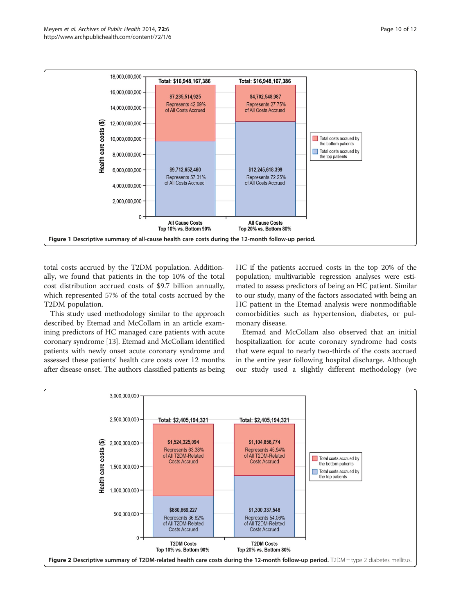<span id="page-9-0"></span>

total costs accrued by the T2DM population. Additionally, we found that patients in the top 10% of the total cost distribution accrued costs of \$9.7 billion annually, which represented 57% of the total costs accrued by the T2DM population.

This study used methodology similar to the approach described by Etemad and McCollam in an article examining predictors of HC managed care patients with acute coronary syndrome [\[13\]](#page-11-0). Etemad and McCollam identified patients with newly onset acute coronary syndrome and assessed these patients' health care costs over 12 months after disease onset. The authors classified patients as being HC if the patients accrued costs in the top 20% of the population; multivariable regression analyses were estimated to assess predictors of being an HC patient. Similar to our study, many of the factors associated with being an HC patient in the Etemad analysis were nonmodifiable comorbidities such as hypertension, diabetes, or pulmonary disease.

Etemad and McCollam also observed that an initial hospitalization for acute coronary syndrome had costs that were equal to nearly two-thirds of the costs accrued in the entire year following hospital discharge. Although our study used a slightly different methodology (we

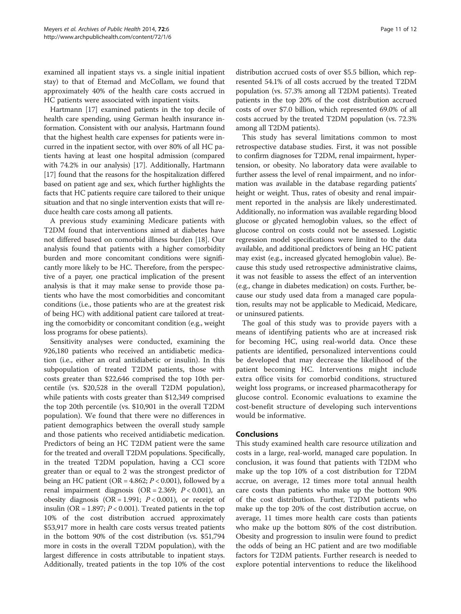examined all inpatient stays vs. a single initial inpatient stay) to that of Etemad and McCollam, we found that approximately 40% of the health care costs accrued in HC patients were associated with inpatient visits.

Hartmann [\[17](#page-11-0)] examined patients in the top decile of health care spending, using German health insurance information. Consistent with our analysis, Hartmann found that the highest health care expenses for patients were incurred in the inpatient sector, with over 80% of all HC patients having at least one hospital admission (compared with 74.2% in our analysis) [\[17\]](#page-11-0). Additionally, Hartmann [[17](#page-11-0)] found that the reasons for the hospitalization differed based on patient age and sex, which further highlights the facts that HC patients require care tailored to their unique situation and that no single intervention exists that will reduce health care costs among all patients.

A previous study examining Medicare patients with T2DM found that interventions aimed at diabetes have not differed based on comorbid illness burden [\[18](#page-11-0)]. Our analysis found that patients with a higher comorbidity burden and more concomitant conditions were significantly more likely to be HC. Therefore, from the perspective of a payer, one practical implication of the present analysis is that it may make sense to provide those patients who have the most comorbidities and concomitant conditions (i.e., those patients who are at the greatest risk of being HC) with additional patient care tailored at treating the comorbidity or concomitant condition (e.g., weight loss programs for obese patients).

Sensitivity analyses were conducted, examining the 926,180 patients who received an antidiabetic medication (i.e., either an oral antidiabetic or insulin). In this subpopulation of treated T2DM patients, those with costs greater than \$22,646 comprised the top 10th percentile (vs. \$20,528 in the overall T2DM population), while patients with costs greater than \$12,349 comprised the top 20th percentile (vs. \$10,901 in the overall T2DM population). We found that there were no differences in patient demographics between the overall study sample and those patients who received antidiabetic medication. Predictors of being an HC T2DM patient were the same for the treated and overall T2DM populations. Specifically, in the treated T2DM population, having a CCI score greater than or equal to 2 was the strongest predictor of being an HC patient (OR =  $4.862$ ;  $P < 0.001$ ), followed by a renal impairment diagnosis (OR =  $2.369$ ;  $P < 0.001$ ), an obesity diagnosis (OR = 1.991;  $P < 0.001$ ), or receipt of insulin (OR = 1.897;  $P < 0.001$ ). Treated patients in the top 10% of the cost distribution accrued approximately \$53,917 more in health care costs versus treated patients in the bottom 90% of the cost distribution (vs. \$51,794 more in costs in the overall T2DM population), with the largest difference in costs attributable to inpatient stays. Additionally, treated patients in the top 10% of the cost distribution accrued costs of over \$5.5 billion, which represented 54.1% of all costs accrued by the treated T2DM population (vs. 57.3% among all T2DM patients). Treated patients in the top 20% of the cost distribution accrued costs of over \$7.0 billion, which represented 69.0% of all costs accrued by the treated T2DM population (vs. 72.3% among all T2DM patients).

This study has several limitations common to most retrospective database studies. First, it was not possible to confirm diagnoses for T2DM, renal impairment, hypertension, or obesity. No laboratory data were available to further assess the level of renal impairment, and no information was available in the database regarding patients' height or weight. Thus, rates of obesity and renal impairment reported in the analysis are likely underestimated. Additionally, no information was available regarding blood glucose or glycated hemoglobin values, so the effect of glucose control on costs could not be assessed. Logistic regression model specifications were limited to the data available, and additional predictors of being an HC patient may exist (e.g., increased glycated hemoglobin value). Because this study used retrospective administrative claims, it was not feasible to assess the effect of an intervention (e.g., change in diabetes medication) on costs. Further, because our study used data from a managed care population, results may not be applicable to Medicaid, Medicare, or uninsured patients.

The goal of this study was to provide payers with a means of identifying patients who are at increased risk for becoming HC, using real-world data. Once these patients are identified, personalized interventions could be developed that may decrease the likelihood of the patient becoming HC. Interventions might include extra office visits for comorbid conditions, structured weight loss programs, or increased pharmacotherapy for glucose control. Economic evaluations to examine the cost-benefit structure of developing such interventions would be informative.

## Conclusions

This study examined health care resource utilization and costs in a large, real-world, managed care population. In conclusion, it was found that patients with T2DM who make up the top 10% of a cost distribution for T2DM accrue, on average, 12 times more total annual health care costs than patients who make up the bottom 90% of the cost distribution. Further, T2DM patients who make up the top 20% of the cost distribution accrue, on average, 11 times more health care costs than patients who make up the bottom 80% of the cost distribution. Obesity and progression to insulin were found to predict the odds of being an HC patient and are two modifiable factors for T2DM patients. Further research is needed to explore potential interventions to reduce the likelihood